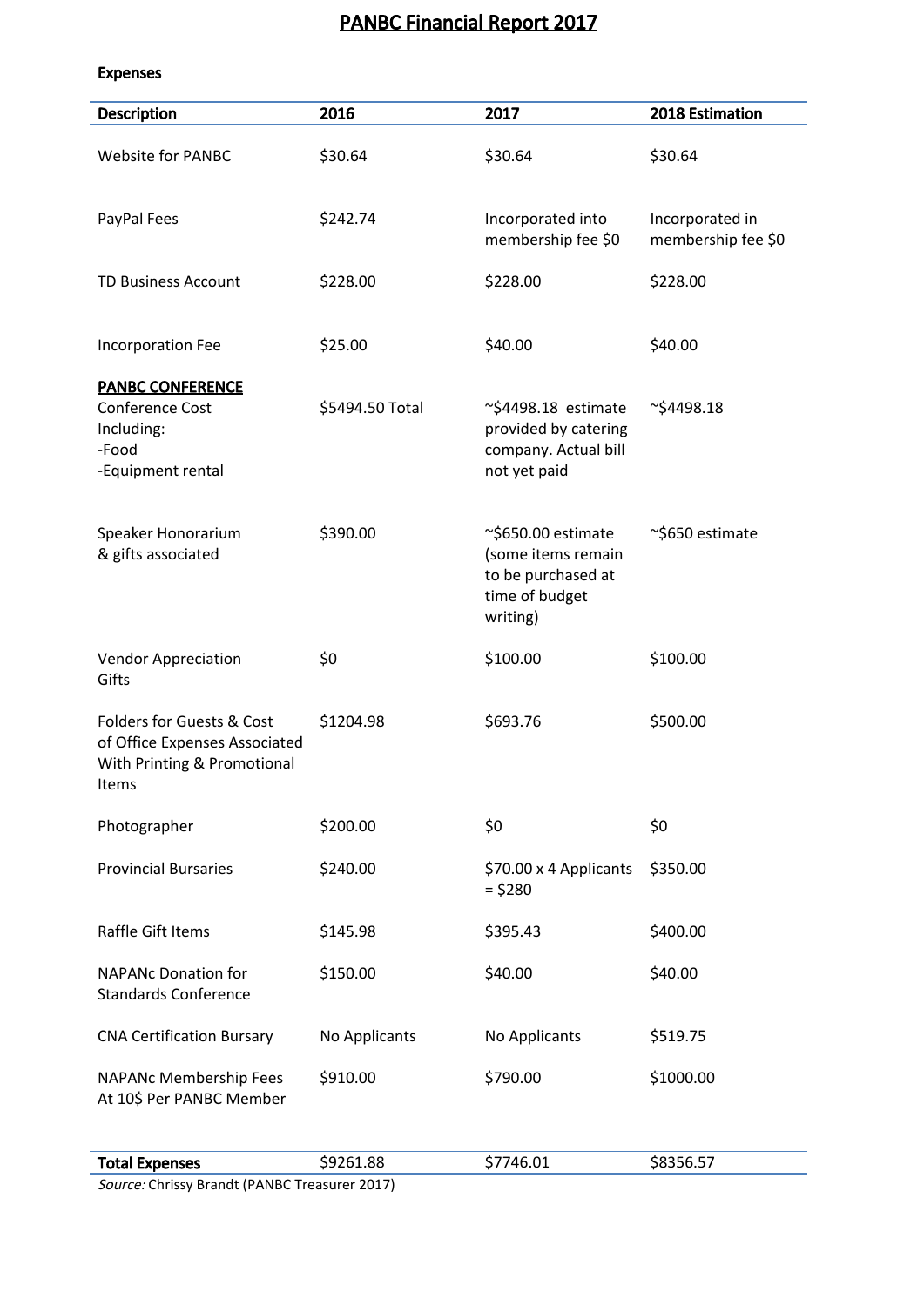# PANBC Financial Report 2017

#### Expenses

| <b>Website for PANBC</b>                                                                                      | \$30.64         |                                                                                                    |                                       |
|---------------------------------------------------------------------------------------------------------------|-----------------|----------------------------------------------------------------------------------------------------|---------------------------------------|
|                                                                                                               |                 | \$30.64                                                                                            | \$30.64                               |
| PayPal Fees                                                                                                   | \$242.74        | Incorporated into<br>membership fee \$0                                                            | Incorporated in<br>membership fee \$0 |
| <b>TD Business Account</b>                                                                                    | \$228.00        | \$228.00                                                                                           | \$228.00                              |
| Incorporation Fee                                                                                             | \$25.00         | \$40.00                                                                                            | \$40.00                               |
| <b>PANBC CONFERENCE</b><br>Conference Cost<br>Including:<br>-Food<br>-Equipment rental                        | \$5494.50 Total | $\sim$ \$4498.18 estimate<br>provided by catering<br>company. Actual bill<br>not yet paid          | $\sim$ \$4498.18                      |
| Speaker Honorarium<br>& gifts associated                                                                      | \$390.00        | $\sim$ \$650.00 estimate<br>(some items remain<br>to be purchased at<br>time of budget<br>writing) | ~\$650 estimate                       |
| <b>Vendor Appreciation</b><br>Gifts                                                                           | \$0             | \$100.00                                                                                           | \$100.00                              |
| <b>Folders for Guests &amp; Cost</b><br>of Office Expenses Associated<br>With Printing & Promotional<br>Items | \$1204.98       | \$693.76                                                                                           | \$500.00                              |
| Photographer                                                                                                  | \$200.00        | \$0                                                                                                | \$0                                   |
| <b>Provincial Bursaries</b>                                                                                   | \$240.00        | \$70.00 x 4 Applicants<br>$=$ \$280                                                                | \$350.00                              |
| Raffle Gift Items                                                                                             | \$145.98        | \$395.43                                                                                           | \$400.00                              |
| <b>NAPANc Donation for</b><br><b>Standards Conference</b>                                                     | \$150.00        | \$40.00                                                                                            | \$40.00                               |
| <b>CNA Certification Bursary</b>                                                                              | No Applicants   | No Applicants                                                                                      | \$519.75                              |
| NAPANc Membership Fees<br>At 10\$ Per PANBC Member                                                            | \$910.00        | \$790.00                                                                                           | \$1000.00                             |
| <b>Total Expenses</b>                                                                                         | \$9261.88       | \$7746.01                                                                                          | \$8356.57                             |

Source: Chrissy Brandt (PANBC Treasurer 2017)